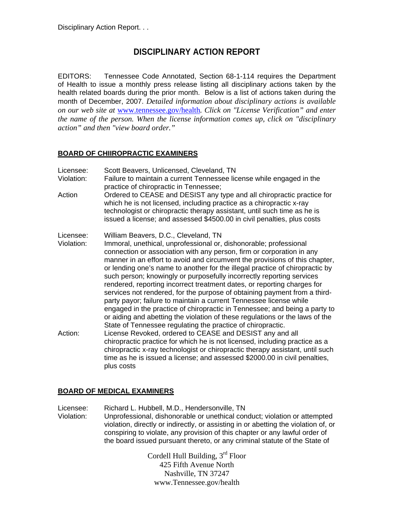# **DISCIPLINARY ACTION REPORT**

EDITORS: Tennessee Code Annotated, Section 68-1-114 requires the Department of Health to issue a monthly press release listing all disciplinary actions taken by the health related boards during the prior month. Below is a list of actions taken during the month of December, 2007. *Detailed information about disciplinary actions is available on our web site at* www.tennessee.gov/health*. Click on "License Verification" and enter the name of the person. When the license information comes up, click on "disciplinary action" and then "view board order."* 

## **BOARD OF CHIIROPRACTIC EXAMINERS**

- Licensee: Scott Beavers, Unlicensed, Cleveland, TN
- Violation: Failure to maintain a current Tennessee license while engaged in the practice of chiropractic in Tennessee;
- Action Ordered to CEASE and DESIST any type and all chiropractic practice for which he is not licensed, including practice as a chiropractic x-ray technologist or chiropractic therapy assistant, until such time as he is issued a license; and assessed \$4500.00 in civil penalties, plus costs
- Licensee: William Beavers, D.C., Cleveland, TN
- Violation: Immoral, unethical, unprofessional or, dishonorable; professional connection or association with any person, firm or corporation in any manner in an effort to avoid and circumvent the provisions of this chapter, or lending one's name to another for the illegal practice of chiropractic by such person; knowingly or purposefully incorrectly reporting services rendered, reporting incorrect treatment dates, or reporting charges for services not rendered, for the purpose of obtaining payment from a thirdparty payor; failure to maintain a current Tennessee license while engaged in the practice of chiropractic in Tennessee; and being a party to or aiding and abetting the violation of these regulations or the laws of the State of Tennessee regulating the practice of chiropractic. Action: License Revoked, ordered to CEASE and DESIST any and all
- chiropractic practice for which he is not licensed, including practice as a chiropractic x-ray technologist or chiropractic therapy assistant, until such time as he is issued a license; and assessed \$2000.00 in civil penalties, plus costs

## **BOARD OF MEDICAL EXAMINERS**

Licensee: Richard L. Hubbell, M.D., Hendersonville, TN Violation: Unprofessional, dishonorable or unethical conduct; violation or attempted violation, directly or indirectly, or assisting in or abetting the violation of, or conspiring to violate, any provision of this chapter or any lawful order of the board issued pursuant thereto, or any criminal statute of the State of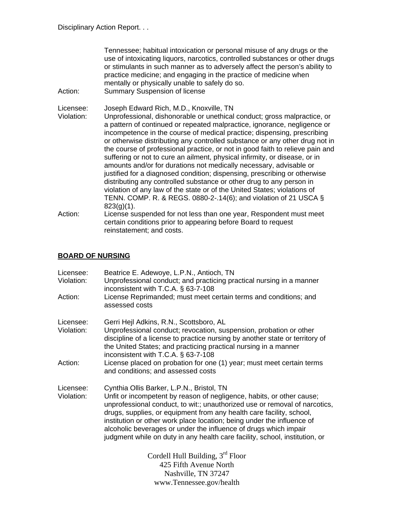| Action:                 | Tennessee; habitual intoxication or personal misuse of any drugs or the<br>use of intoxicating liquors, narcotics, controlled substances or other drugs<br>or stimulants in such manner as to adversely affect the person's ability to<br>practice medicine; and engaging in the practice of medicine when<br>mentally or physically unable to safely do so.<br><b>Summary Suspension of license</b>                                                                                                                                                                                                                                                                                                                                                                                                                                                                                                                    |
|-------------------------|-------------------------------------------------------------------------------------------------------------------------------------------------------------------------------------------------------------------------------------------------------------------------------------------------------------------------------------------------------------------------------------------------------------------------------------------------------------------------------------------------------------------------------------------------------------------------------------------------------------------------------------------------------------------------------------------------------------------------------------------------------------------------------------------------------------------------------------------------------------------------------------------------------------------------|
| Licensee:<br>Violation: | Joseph Edward Rich, M.D., Knoxville, TN<br>Unprofessional, dishonorable or unethical conduct; gross malpractice, or<br>a pattern of continued or repeated malpractice, ignorance, negligence or<br>incompetence in the course of medical practice; dispensing, prescribing<br>or otherwise distributing any controlled substance or any other drug not in<br>the course of professional practice, or not in good faith to relieve pain and<br>suffering or not to cure an ailment, physical infirmity, or disease, or in<br>amounts and/or for durations not medically necessary, advisable or<br>justified for a diagnosed condition; dispensing, prescribing or otherwise<br>distributing any controlled substance or other drug to any person in<br>violation of any law of the state or of the United States; violations of<br>TENN. COMP. R. & REGS. 0880-2-.14(6); and violation of 21 USCA $\S$<br>$823(g)(1)$ . |
| Action:                 | License suspended for not less than one year, Respondent must meet<br>certain conditions prior to appearing before Board to request<br>reinstatement; and costs.                                                                                                                                                                                                                                                                                                                                                                                                                                                                                                                                                                                                                                                                                                                                                        |
|                         |                                                                                                                                                                                                                                                                                                                                                                                                                                                                                                                                                                                                                                                                                                                                                                                                                                                                                                                         |

# **BOARD OF NURSING**

| Licensee:<br>Violation: | Beatrice E. Adewoye, L.P.N., Antioch, TN<br>Unprofessional conduct; and practicing practical nursing in a manner<br>inconsistent with T.C.A. $\S$ 63-7-108                                                                                                                                                                                                                                                                                                                                            |
|-------------------------|-------------------------------------------------------------------------------------------------------------------------------------------------------------------------------------------------------------------------------------------------------------------------------------------------------------------------------------------------------------------------------------------------------------------------------------------------------------------------------------------------------|
| Action:                 | License Reprimanded; must meet certain terms and conditions; and<br>assessed costs                                                                                                                                                                                                                                                                                                                                                                                                                    |
| Licensee:<br>Violation: | Gerri Hejl Adkins, R.N., Scottsboro, AL<br>Unprofessional conduct; revocation, suspension, probation or other<br>discipline of a license to practice nursing by another state or territory of<br>the United States; and practicing practical nursing in a manner<br>inconsistent with T.C.A. $\S$ 63-7-108                                                                                                                                                                                            |
| Action:                 | License placed on probation for one (1) year; must meet certain terms<br>and conditions; and assessed costs                                                                                                                                                                                                                                                                                                                                                                                           |
| Licensee:<br>Violation: | Cynthia Ollis Barker, L.P.N., Bristol, TN<br>Unfit or incompetent by reason of negligence, habits, or other cause;<br>unprofessional conduct, to wit:; unauthorized use or removal of narcotics,<br>drugs, supplies, or equipment from any health care facility, school,<br>institution or other work place location; being under the influence of<br>alcoholic beverages or under the influence of drugs which impair<br>judgment while on duty in any health care facility, school, institution, or |
|                         | Cordell Hull Building, 3rd Floor                                                                                                                                                                                                                                                                                                                                                                                                                                                                      |
|                         | 425 Fifth Avenue North                                                                                                                                                                                                                                                                                                                                                                                                                                                                                |
|                         | Nashville, TN 37247                                                                                                                                                                                                                                                                                                                                                                                                                                                                                   |

www.Tennessee.gov/health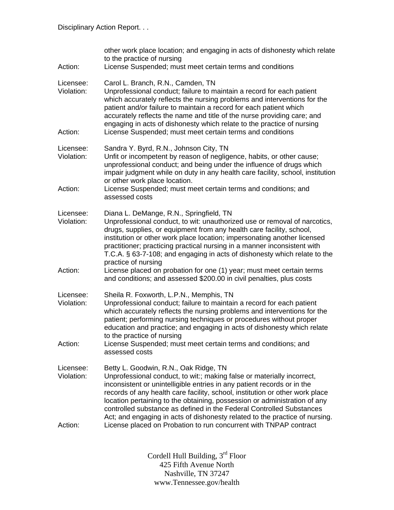| Action:                            | other work place location; and engaging in acts of dishonesty which relate<br>to the practice of nursing<br>License Suspended; must meet certain terms and conditions                                                                                                                                                                                                                                                                                                                                                                                                                                     |
|------------------------------------|-----------------------------------------------------------------------------------------------------------------------------------------------------------------------------------------------------------------------------------------------------------------------------------------------------------------------------------------------------------------------------------------------------------------------------------------------------------------------------------------------------------------------------------------------------------------------------------------------------------|
| Licensee:<br>Violation:<br>Action: | Carol L. Branch, R.N., Camden, TN<br>Unprofessional conduct; failure to maintain a record for each patient<br>which accurately reflects the nursing problems and interventions for the<br>patient and/or failure to maintain a record for each patient which<br>accurately reflects the name and title of the nurse providing care; and<br>engaging in acts of dishonesty which relate to the practice of nursing<br>License Suspended; must meet certain terms and conditions                                                                                                                            |
| Licensee:<br>Violation:<br>Action: | Sandra Y. Byrd, R.N., Johnson City, TN<br>Unfit or incompetent by reason of negligence, habits, or other cause;<br>unprofessional conduct; and being under the influence of drugs which<br>impair judgment while on duty in any health care facility, school, institution<br>or other work place location.<br>License Suspended; must meet certain terms and conditions; and<br>assessed costs                                                                                                                                                                                                            |
| Licensee:<br>Violation:<br>Action: | Diana L. DeMange, R.N., Springfield, TN<br>Unprofessional conduct, to wit: unauthorized use or removal of narcotics,<br>drugs, supplies, or equipment from any health care facility, school,<br>institution or other work place location; impersonating another licensed<br>practitioner; practicing practical nursing in a manner inconsistent with<br>T.C.A. § 63-7-108; and engaging in acts of dishonesty which relate to the<br>practice of nursing<br>License placed on probation for one (1) year; must meet certain terms<br>and conditions; and assessed \$200.00 in civil penalties, plus costs |
| Licensee:<br>Violation:<br>Action: | Sheila R. Foxworth, L.P.N., Memphis, TN<br>Unprofessional conduct; failure to maintain a record for each patient<br>which accurately reflects the nursing problems and interventions for the<br>patient; performing nursing techniques or procedures without proper<br>education and practice; and engaging in acts of dishonesty which relate<br>to the practice of nursing<br>License Suspended; must meet certain terms and conditions; and<br>assessed costs                                                                                                                                          |
| Licensee:<br>Violation:<br>Action: | Betty L. Goodwin, R.N., Oak Ridge, TN<br>Unprofessional conduct, to wit:; making false or materially incorrect,<br>inconsistent or unintelligible entries in any patient records or in the<br>records of any health care facility, school, institution or other work place<br>location pertaining to the obtaining, possession or administration of any<br>controlled substance as defined in the Federal Controlled Substances<br>Act; and engaging in acts of dishonesty related to the practice of nursing.<br>License placed on Probation to run concurrent with TNPAP contract                       |
|                                    |                                                                                                                                                                                                                                                                                                                                                                                                                                                                                                                                                                                                           |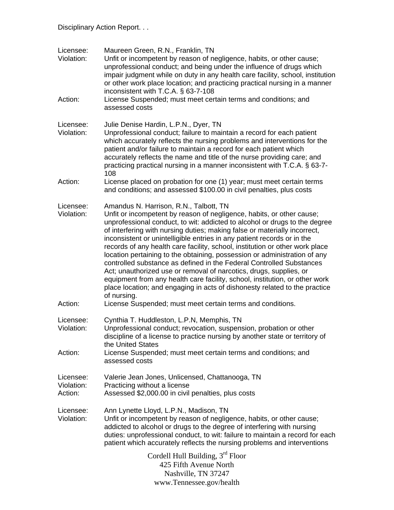| Licensee:<br>Violation:            | Maureen Green, R.N., Franklin, TN<br>Unfit or incompetent by reason of negligence, habits, or other cause;<br>unprofessional conduct; and being under the influence of drugs which<br>impair judgment while on duty in any health care facility, school, institution<br>or other work place location; and practicing practical nursing in a manner<br>inconsistent with T.C.A. § 63-7-108                                                                                                                                                                                                                                                                                                                                                                                                                                                    |  |
|------------------------------------|----------------------------------------------------------------------------------------------------------------------------------------------------------------------------------------------------------------------------------------------------------------------------------------------------------------------------------------------------------------------------------------------------------------------------------------------------------------------------------------------------------------------------------------------------------------------------------------------------------------------------------------------------------------------------------------------------------------------------------------------------------------------------------------------------------------------------------------------|--|
| Action:                            | License Suspended; must meet certain terms and conditions; and<br>assessed costs                                                                                                                                                                                                                                                                                                                                                                                                                                                                                                                                                                                                                                                                                                                                                             |  |
| Licensee:<br>Violation:            | Julie Denise Hardin, L.P.N., Dyer, TN<br>Unprofessional conduct; failure to maintain a record for each patient<br>which accurately reflects the nursing problems and interventions for the<br>patient and/or failure to maintain a record for each patient which<br>accurately reflects the name and title of the nurse providing care; and<br>practicing practical nursing in a manner inconsistent with T.C.A. § 63-7-<br>108                                                                                                                                                                                                                                                                                                                                                                                                              |  |
| Action:                            | License placed on probation for one (1) year; must meet certain terms<br>and conditions; and assessed \$100.00 in civil penalties, plus costs                                                                                                                                                                                                                                                                                                                                                                                                                                                                                                                                                                                                                                                                                                |  |
| Licensee:<br>Violation:            | Amandus N. Harrison, R.N., Talbott, TN<br>Unfit or incompetent by reason of negligence, habits, or other cause;<br>unprofessional conduct, to wit: addicted to alcohol or drugs to the degree<br>of interfering with nursing duties; making false or materially incorrect,<br>inconsistent or unintelligible entries in any patient records or in the<br>records of any health care facility, school, institution or other work place<br>location pertaining to the obtaining, possession or administration of any<br>controlled substance as defined in the Federal Controlled Substances<br>Act; unauthorized use or removal of narcotics, drugs, supplies, or<br>equipment from any health care facility, school, institution, or other work<br>place location; and engaging in acts of dishonesty related to the practice<br>of nursing. |  |
| Action:                            | License Suspended; must meet certain terms and conditions.                                                                                                                                                                                                                                                                                                                                                                                                                                                                                                                                                                                                                                                                                                                                                                                   |  |
| Licensee:<br>Violation:            | Cynthia T. Huddleston, L.P.N, Memphis, TN<br>Unprofessional conduct; revocation, suspension, probation or other<br>discipline of a license to practice nursing by another state or territory of<br>the United States                                                                                                                                                                                                                                                                                                                                                                                                                                                                                                                                                                                                                         |  |
| Action:                            | License Suspended; must meet certain terms and conditions; and<br>assessed costs                                                                                                                                                                                                                                                                                                                                                                                                                                                                                                                                                                                                                                                                                                                                                             |  |
| Licensee:<br>Violation:<br>Action: | Valerie Jean Jones, Unlicensed, Chattanooga, TN<br>Practicing without a license<br>Assessed \$2,000.00 in civil penalties, plus costs                                                                                                                                                                                                                                                                                                                                                                                                                                                                                                                                                                                                                                                                                                        |  |
| Licensee:<br>Violation:            | Ann Lynette Lloyd, L.P.N., Madison, TN<br>Unfit or incompetent by reason of negligence, habits, or other cause;<br>addicted to alcohol or drugs to the degree of interfering with nursing<br>duties: unprofessional conduct, to wit: failure to maintain a record for each<br>patient which accurately reflects the nursing problems and interventions                                                                                                                                                                                                                                                                                                                                                                                                                                                                                       |  |
|                                    | Cordell Hull Building, 3rd Floor<br>425 Fifth Avenue North<br>Nashville, TN 37247<br>www.Tennessee.gov/health                                                                                                                                                                                                                                                                                                                                                                                                                                                                                                                                                                                                                                                                                                                                |  |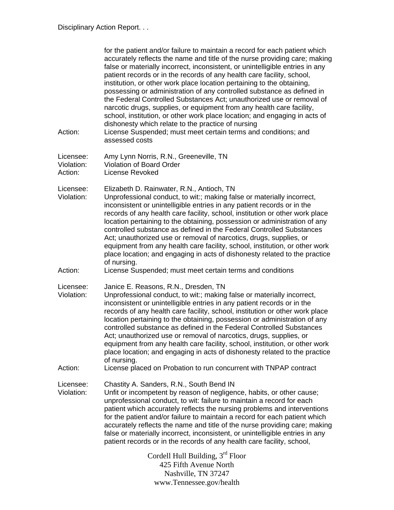| Action:                            | for the patient and/or failure to maintain a record for each patient which<br>accurately reflects the name and title of the nurse providing care; making<br>false or materially incorrect, inconsistent, or unintelligible entries in any<br>patient records or in the records of any health care facility, school,<br>institution, or other work place location pertaining to the obtaining,<br>possessing or administration of any controlled substance as defined in<br>the Federal Controlled Substances Act; unauthorized use or removal of<br>narcotic drugs, supplies, or equipment from any health care facility,<br>school, institution, or other work place location; and engaging in acts of<br>dishonesty which relate to the practice of nursing<br>License Suspended; must meet certain terms and conditions; and<br>assessed costs |
|------------------------------------|---------------------------------------------------------------------------------------------------------------------------------------------------------------------------------------------------------------------------------------------------------------------------------------------------------------------------------------------------------------------------------------------------------------------------------------------------------------------------------------------------------------------------------------------------------------------------------------------------------------------------------------------------------------------------------------------------------------------------------------------------------------------------------------------------------------------------------------------------|
| Licensee:<br>Violation:<br>Action: | Amy Lynn Norris, R.N., Greeneville, TN<br><b>Violation of Board Order</b><br>License Revoked                                                                                                                                                                                                                                                                                                                                                                                                                                                                                                                                                                                                                                                                                                                                                      |
| Licensee:<br>Violation:            | Elizabeth D. Rainwater, R.N., Antioch, TN<br>Unprofessional conduct, to wit:; making false or materially incorrect,<br>inconsistent or unintelligible entries in any patient records or in the<br>records of any health care facility, school, institution or other work place<br>location pertaining to the obtaining, possession or administration of any<br>controlled substance as defined in the Federal Controlled Substances<br>Act; unauthorized use or removal of narcotics, drugs, supplies, or<br>equipment from any health care facility, school, institution, or other work<br>place location; and engaging in acts of dishonesty related to the practice<br>of nursing.                                                                                                                                                             |
| Action:                            | License Suspended; must meet certain terms and conditions                                                                                                                                                                                                                                                                                                                                                                                                                                                                                                                                                                                                                                                                                                                                                                                         |
| Licensee:<br>Violation:            | Janice E. Reasons, R.N., Dresden, TN<br>Unprofessional conduct, to wit:; making false or materially incorrect,<br>inconsistent or unintelligible entries in any patient records or in the<br>records of any health care facility, school, institution or other work place<br>location pertaining to the obtaining, possession or administration of any<br>controlled substance as defined in the Federal Controlled Substances<br>Act; unauthorized use or removal of narcotics, drugs, supplies, or<br>equipment from any health care facility, school, institution, or other work<br>place location; and engaging in acts of dishonesty related to the practice<br>of nursing.                                                                                                                                                                  |
| Action:                            | License placed on Probation to run concurrent with TNPAP contract                                                                                                                                                                                                                                                                                                                                                                                                                                                                                                                                                                                                                                                                                                                                                                                 |
| Licensee:<br>Violation:            | Chastity A. Sanders, R.N., South Bend IN<br>Unfit or incompetent by reason of negligence, habits, or other cause;<br>unprofessional conduct, to wit: failure to maintain a record for each<br>patient which accurately reflects the nursing problems and interventions<br>for the patient and/or failure to maintain a record for each patient which<br>accurately reflects the name and title of the nurse providing care; making<br>false or materially incorrect, inconsistent, or unintelligible entries in any<br>patient records or in the records of any health care facility, school,                                                                                                                                                                                                                                                     |
|                                    | Cordell Hull Building, 3 <sup>rd</sup> Floor<br>425 Fifth Avenue North<br>Nashville, TN 37247                                                                                                                                                                                                                                                                                                                                                                                                                                                                                                                                                                                                                                                                                                                                                     |

www.Tennessee.gov/health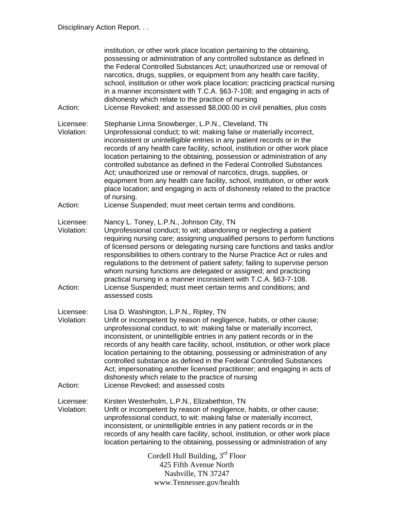| Action:                            | institution, or other work place location pertaining to the obtaining,<br>possessing or administration of any controlled substance as defined in<br>the Federal Controlled Substances Act; unauthorized use or removal of<br>narcotics, drugs, supplies, or equipment from any health care facility,<br>school, institution or other work place location; practicing practical nursing<br>in a manner inconsistent with T.C.A. §63-7-108; and engaging in acts of<br>dishonesty which relate to the practice of nursing<br>License Revoked; and assessed \$8,000.00 in civil penalties, plus costs                                                                                           |
|------------------------------------|----------------------------------------------------------------------------------------------------------------------------------------------------------------------------------------------------------------------------------------------------------------------------------------------------------------------------------------------------------------------------------------------------------------------------------------------------------------------------------------------------------------------------------------------------------------------------------------------------------------------------------------------------------------------------------------------|
| Licensee:<br>Violation:            | Stephanie Linna Snowberger, L.P.N., Cleveland, TN<br>Unprofessional conduct; to wit: making false or materially incorrect,<br>inconsistent or unintelligible entries in any patient records or in the<br>records of any health care facility, school, institution or other work place<br>location pertaining to the obtaining, possession or administration of any<br>controlled substance as defined in the Federal Controlled Substances<br>Act; unauthorized use or removal of narcotics, drugs, supplies, or<br>equipment from any health care facility, school, institution, or other work<br>place location; and engaging in acts of dishonesty related to the practice<br>of nursing. |
| Action:                            | License Suspended; must meet certain terms and conditions.                                                                                                                                                                                                                                                                                                                                                                                                                                                                                                                                                                                                                                   |
| Licensee:<br>Violation:<br>Action: | Nancy L. Toney, L.P.N., Johnson City, TN<br>Unprofessional conduct; to wit; abandoning or neglecting a patient<br>requiring nursing care; assigning unqualified persons to perform functions<br>of licensed persons or delegating nursing care functions and tasks and/or<br>responsibilities to others contrary to the Nurse Practice Act or rules and<br>regulations to the detriment of patient safety; failing to supervise person<br>whom nursing functions are delegated or assigned; and practicing<br>practical nursing in a manner inconsistent with T.C.A. §63-7-108.<br>License Suspended; must meet certain terms and conditions; and<br>assessed costs                          |
| Licensee:<br>Violation:<br>Action: | Lisa D. Washington, L.P.N., Ripley, TN<br>Unfit or incompetent by reason of negligence, habits, or other cause;<br>unprofessional conduct, to wit: making false or materially incorrect,<br>inconsistent, or unintelligible entries in any patient records or in the<br>records of any health care facility, school, institution, or other work place<br>location pertaining to the obtaining, possessing or administration of any<br>controlled substance as defined in the Federal Controlled Substances<br>Act; impersonating another licensed practitioner; and engaging in acts of<br>dishonesty which relate to the practice of nursing<br>License Revoked; and assessed costs         |
| Licensee:<br>Violation:            | Kirsten Westerholm, L.P.N., Elizabethton, TN<br>Unfit or incompetent by reason of negligence, habits, or other cause;<br>unprofessional conduct, to wit: making false or materially incorrect,<br>inconsistent, or unintelligible entries in any patient records or in the<br>records of any health care facility, school, institution, or other work place<br>location pertaining to the obtaining, possessing or administration of any                                                                                                                                                                                                                                                     |
|                                    | Cordell Hull Building, 3rd Floor<br>425 Fifth Avenue North<br>Nashville, TN 37247<br>www.Tennessee.gov/health                                                                                                                                                                                                                                                                                                                                                                                                                                                                                                                                                                                |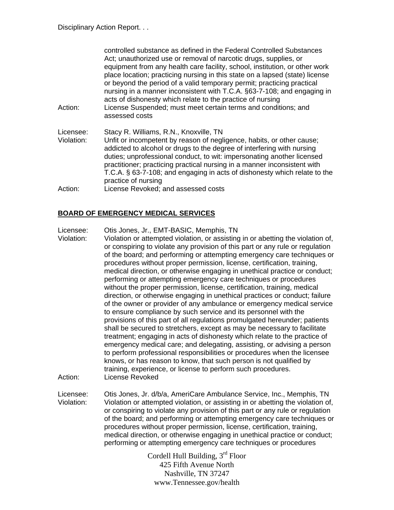| Action:                            | controlled substance as defined in the Federal Controlled Substances<br>Act; unauthorized use or removal of narcotic drugs, supplies, or<br>equipment from any health care facility, school, institution, or other work<br>place location; practicing nursing in this state on a lapsed (state) license<br>or beyond the period of a valid temporary permit; practicing practical<br>nursing in a manner inconsistent with T.C.A. §63-7-108; and engaging in<br>acts of dishonesty which relate to the practice of nursing<br>License Suspended; must meet certain terms and conditions; and<br>assessed costs |
|------------------------------------|----------------------------------------------------------------------------------------------------------------------------------------------------------------------------------------------------------------------------------------------------------------------------------------------------------------------------------------------------------------------------------------------------------------------------------------------------------------------------------------------------------------------------------------------------------------------------------------------------------------|
| Licensee:<br>Violation:<br>Action: | Stacy R. Williams, R.N., Knoxville, TN<br>Unfit or incompetent by reason of negligence, habits, or other cause;<br>addicted to alcohol or drugs to the degree of interfering with nursing<br>duties; unprofessional conduct, to wit: impersonating another licensed<br>practitioner; practicing practical nursing in a manner inconsistent with<br>T.C.A. § 63-7-108; and engaging in acts of dishonesty which relate to the<br>practice of nursing<br>License Revoked; and assessed costs                                                                                                                     |

## **BOARD OF EMERGENCY MEDICAL SERVICES**

- Licensee: Otis Jones, Jr., EMT-BASIC, Memphis, TN
- Violation: Violation or attempted violation, or assisting in or abetting the violation of, or conspiring to violate any provision of this part or any rule or regulation of the board; and performing or attempting emergency care techniques or procedures without proper permission, license, certification, training, medical direction, or otherwise engaging in unethical practice or conduct; performing or attempting emergency care techniques or procedures without the proper permission, license, certification, training, medical direction, or otherwise engaging in unethical practices or conduct; failure of the owner or provider of any ambulance or emergency medical service to ensure compliance by such service and its personnel with the provisions of this part of all regulations promulgated hereunder; patients shall be secured to stretchers, except as may be necessary to facilitate treatment; engaging in acts of dishonesty which relate to the practice of emergency medical care; and delegating, assisting, or advising a person to perform professional responsibilities or procedures when the licensee knows, or has reason to know, that such person is not qualified by training, experience, or license to perform such procedures. Action: License Revoked
- Licensee: Otis Jones, Jr. d/b/a, AmeriCare Ambulance Service, Inc., Memphis, TN Violation: Violation or attempted violation, or assisting in or abetting the violation of, or conspiring to violate any provision of this part or any rule or regulation of the board; and performing or attempting emergency care techniques or procedures without proper permission, license, certification, training, medical direction, or otherwise engaging in unethical practice or conduct; performing or attempting emergency care techniques or procedures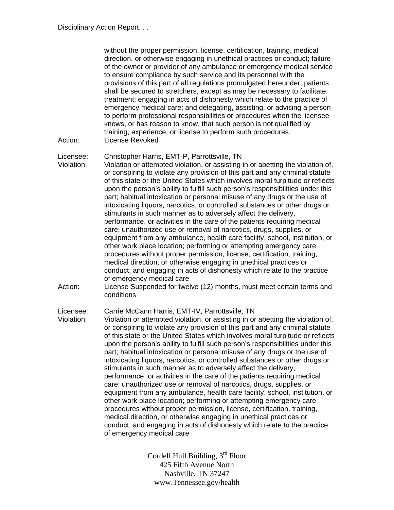without the proper permission, license, certification, training, medical direction, or otherwise engaging in unethical practices or conduct; failure of the owner or provider of any ambulance or emergency medical service to ensure compliance by such service and its personnel with the provisions of this part of all regulations promulgated hereunder; patients shall be secured to stretchers, except as may be necessary to facilitate treatment; engaging in acts of dishonesty which relate to the practice of emergency medical care; and delegating, assisting, or advising a person to perform professional responsibilities or procedures when the licensee knows, or has reason to know, that such person is not qualified by training, experience, or license to perform such procedures. Action: License Revoked

Licensee: Christopher Harris, EMT-P, Parrottsville, TN

Violation: Violation or attempted violation, or assisting in or abetting the violation of, or conspiring to violate any provision of this part and any criminal statute of this state or the United States which involves moral turpitude or reflects upon the person's ability to fulfill such person's responsibilities under this part; habitual intoxication or personal misuse of any drugs or the use of intoxicating liquors, narcotics, or controlled substances or other drugs or stimulants in such manner as to adversely affect the delivery, performance, or activities in the care of the patients requiring medical care; unauthorized use or removal of narcotics, drugs, supplies, or equipment from any ambulance, health care facility, school, institution, or other work place location; performing or attempting emergency care procedures without proper permission, license, certification, training, medical direction, or otherwise engaging in unethical practices or conduct; and engaging in acts of dishonesty which relate to the practice of emergency medical care

Action: License Suspended for twelve (12) months, must meet certain terms and conditions

Licensee: Carrie McCann Harris, EMT-IV, Parrottsville, TN

Violation: Violation or attempted violation, or assisting in or abetting the violation of, or conspiring to violate any provision of this part and any criminal statute of this state or the United States which involves moral turpitude or reflects upon the person's ability to fulfill such person's responsibilities under this part; habitual intoxication or personal misuse of any drugs or the use of intoxicating liquors, narcotics, or controlled substances or other drugs or stimulants in such manner as to adversely affect the delivery, performance, or activities in the care of the patients requiring medical care; unauthorized use or removal of narcotics, drugs, supplies, or equipment from any ambulance, health care facility, school, institution, or other work place location; performing or attempting emergency care procedures without proper permission, license, certification, training, medical direction, or otherwise engaging in unethical practices or conduct; and engaging in acts of dishonesty which relate to the practice of emergency medical care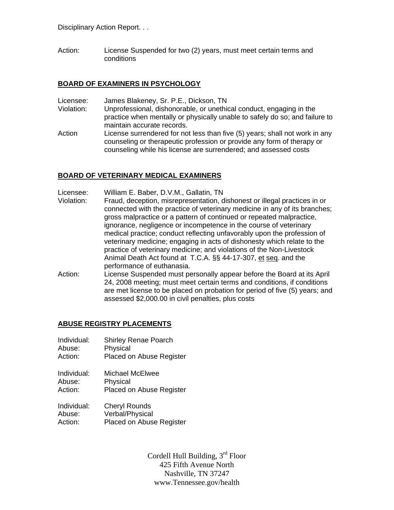Action: License Suspended for two (2) years, must meet certain terms and conditions

#### **BOARD OF EXAMINERS IN PSYCHOLOGY**

- Licensee: James Blakeney, Sr. P.E., Dickson, TN
- Violation: Unprofessional, dishonorable, or unethical conduct, engaging in the practice when mentally or physically unable to safely do so; and failure to maintain accurate records.
- Action License surrendered for not less than five (5) years; shall not work in any counseling or therapeutic profession or provide any form of therapy or counseling while his license are surrendered; and assessed costs

#### **BOARD OF VETERINARY MEDICAL EXAMINERS**

- Licensee: William E. Baber, D.V.M., Gallatin, TN
- Violation: Fraud, deception, misrepresentation, dishonest or illegal practices in or connected with the practice of veterinary medicine in any of its branches; gross malpractice or a pattern of continued or repeated malpractice, ignorance, negligence or incompetence in the course of veterinary medical practice; conduct reflecting unfavorably upon the profession of veterinary medicine; engaging in acts of dishonesty which relate to the practice of veterinary medicine; and violations of the Non-Livestock Animal Death Act found at T.C.A. §§ 44-17-307, et seq. and the performance of euthanasia.
- Action: License Suspended must personally appear before the Board at its April 24, 2008 meeting; must meet certain terms and conditions, if conditions are met license to be placed on probation for period of five (5) years; and assessed \$2,000.00 in civil penalties, plus costs

## **ABUSE REGISTRY PLACEMENTS**

- Individual: Shirley Renae Poarch Abuse: Physical
- Action: Placed on Abuse Register
- Individual: Michael McElwee Abuse: Physical Action: Placed on Abuse Register
- Individual: Cheryl Rounds Abuse: Verbal/Physical Action: Placed on Abuse Register